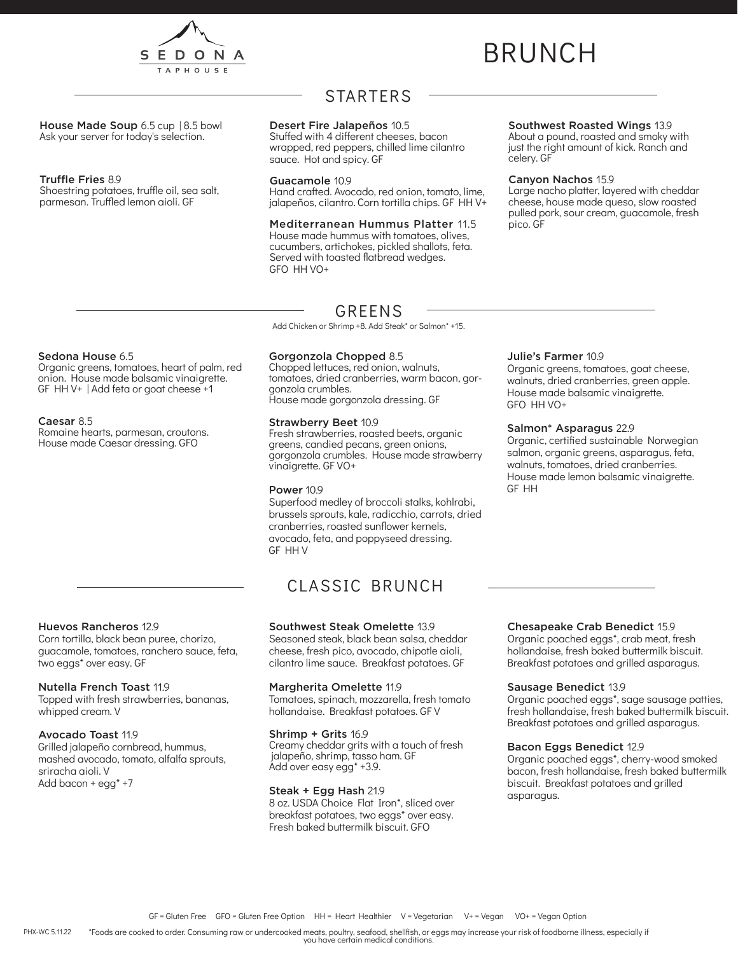

# BRUNCH

House Made Soup 6.5 cup | 8.5 bowl Ask your server for today's selection.

## Truffle Fries 8.9

Shoestring potatoes, truffle oil, sea salt, parmesan. Truffled lemon aioli. GF

## STARTERS

## Desert Fire Jalapeños 10.5

Stuffed with 4 different cheeses, bacon wrapped, red peppers, chilled lime cilantro sauce. Hot and spicy. GF

## Guacamole 10.9

Hand crafted. Avocado, red onion, tomato, lime, jalapeños, cilantro. Corn tortilla chips. GF HH V+

Mediterranean Hummus Platter 11.5 House made hummus with tomatoes, olives, cucumbers, artichokes, pickled shallots, feta. Served with toasted flatbread wedges. GFO HH VO+

## Southwest Roasted Wings 13.9

About a pound, roasted and smoky with just the right amount of kick. Ranch and celery. GF

### Canyon Nachos 15.9

Large nacho platter, layered with cheddar cheese, house made queso, slow roasted pulled pork, sour cream, guacamole, fresh pico. GF

## Sedona House 6.5

Organic greens, tomatoes, heart of palm, red onion. House made balsamic vinaigrette. GF HH V+ | Add feta or goat cheese +1

### Caesar 8.5

Romaine hearts, parmesan, croutons. House made Caesar dressing. GFO

Huevos Rancheros 12.9

two eggs\* over easy. GF

whipped cream. V

sriracha aioli. V Add bacon + egg\* +7

Avocado Toast 11.9

Nutella French Toast 11.9

Corn tortilla, black bean puree, chorizo, guacamole, tomatoes, ranchero sauce, feta,

Topped with fresh strawberries, bananas,

Grilled jalapeño cornbread, hummus, mashed avocado, tomato, alfalfa sprouts,

## GREENS

Add Chicken or Shrimp +8. Add Steak\* or Salmon\* +15.

## Gorgonzola Chopped 8.5

Chopped lettuces, red onion, walnuts, tomatoes, dried cranberries, warm bacon, gor- gonzola crumbles. House made gorgonzola dressing. GF

## Strawberry Beet 10.9

Fresh strawberries, roasted beets, organic greens, candied pecans, green onions, gorgonzola crumbles. House made strawberry vinaigrette. GF VO+

## Power 10.9

Superfood medley of broccoli stalks, kohlrabi, brussels sprouts, kale, radicchio, carrots, dried cranberries, roasted sunflower kernels, avocado, feta, and poppyseed dressing. GF HH V

## CLASSIC BRUNCH

## Southwest Steak Omelette 13.9

Seasoned steak, black bean salsa, cheddar cheese, fresh pico, avocado, chipotle aioli, cilantro lime sauce. Breakfast potatoes. GF

### Margherita Omelette 11.9

Tomatoes, spinach, mozzarella, fresh tomato hollandaise. Breakfast potatoes. GF V

### Shrimp + Grits 16.9

Creamy cheddar grits with a touch of fresh jalapeño, shrimp, tasso ham. GF Add over easy egg\* +3.9.

## Steak + Egg Hash 21.9

8 oz. USDA Choice Flat Iron\*, sliced over breakfast potatoes, two eggs\* over easy. Fresh baked buttermilk biscuit. GFO

## Julie's Farmer 10.9

Organic greens, tomatoes, goat cheese, walnuts, dried cranberries, green apple. House made balsamic vinaigrette. GFO HH VO+

## Salmon\* Asparagus 22.9

Organic, certified sustainable Norwegian salmon, organic greens, asparagus, feta, walnuts, tomatoes, dried cranberries. House made lemon balsamic vinaigrette. GF HH

## Chesapeake Crab Benedict 15.9

Organic poached eggs\*, crab meat, fresh hollandaise, fresh baked buttermilk biscuit. Breakfast potatoes and grilled asparagus.

### Sausage Benedict 13.9

Organic poached eggs\*, sage sausage patties, fresh hollandaise, fresh baked buttermilk biscuit. Breakfast potatoes and grilled asparagus.

### Bacon Eggs Benedict 12.9

Organic poached eggs\*, cherry-wood smoked bacon, fresh hollandaise, fresh baked buttermilk biscuit. Breakfast potatoes and grilled asparagus.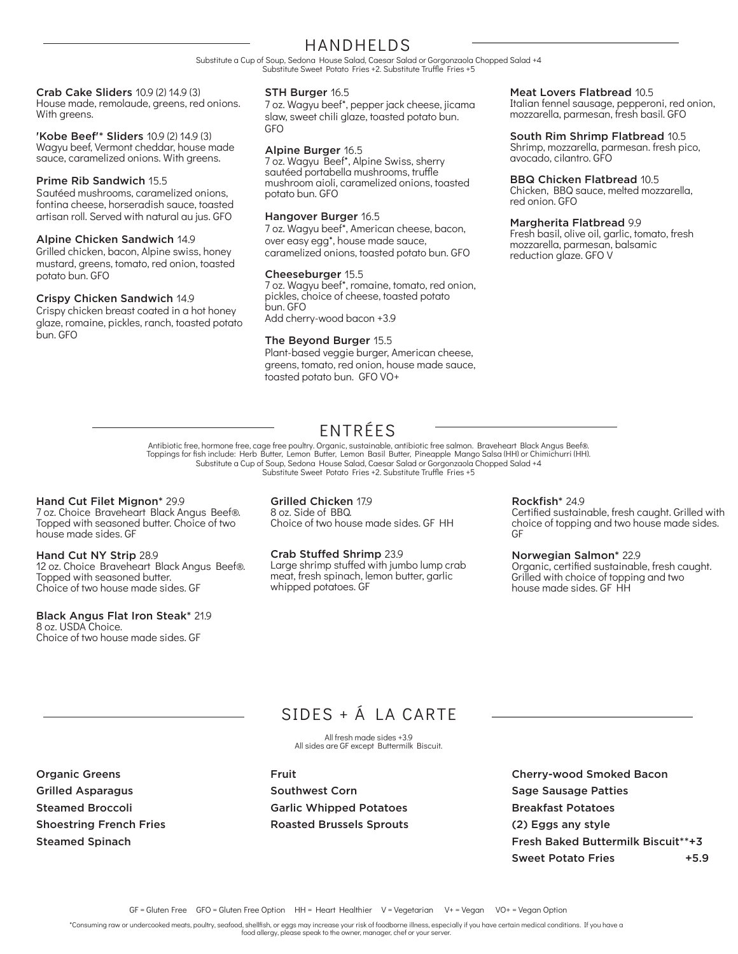## HANDHELDS

Substitute a Cup of Soup, Sedona House Salad, Caesar Salad or Gorgonzaola Chopped Salad +4 Substitute Sweet Potato Fries +2. Substitute Truffle Fries +5

## Crab Cake Sliders 10.9 (2) 14.9 (3)

House made, remolaude, greens, red onions. With greens.

'Kobe Beef'\* Sliders 10.9 (2) 14.9 (3) Wagyu beef, Vermont cheddar, house made sauce, caramelized onions. With greens.

## Prime Rib Sandwich 15.5

Sautéed mushrooms, caramelized onions, fontina cheese, horseradish sauce, toasted artisan roll. Served with natural au jus. GFO

## Alpine Chicken Sandwich 14.9

Grilled chicken, bacon, Alpine swiss, honey mustard, greens, tomato, red onion, toasted potato bun. GFO

## Crispy Chicken Sandwich 14.9

Crispy chicken breast coated in a hot honey glaze, romaine, pickles, ranch, toasted potato bun. GFO

## STH Burger 16.5

7 oz. Wagyu beef\*, pepper jack cheese, jicama slaw, sweet chili glaze, toasted potato bun. GFO

## Alpine Burger 16.5

7 oz. Wagyu Beef\*, Alpine Swiss, sherry sautéed portabella mushrooms, truffle mushroom aioli, caramelized onions, toasted potato bun. GFO

## Hangover Burger 16.5

7 oz. Wagyu beef\*, American cheese, bacon, over easy egg\*, house made sauce, caramelized onions, toasted potato bun. GFO

### Cheeseburger 15.5

7 oz. Wagyu beef\*, romaine, tomato, red onion, pickles, choice of cheese, toasted potato bun. GFO Add cherry-wood bacon +3.9

## The Beyond Burger 15.5

Plant-based veggie burger, American cheese, greens, tomato, red onion, house made sauce, toasted potato bun. GFO VO+

## Meat Lovers Flatbread 10.5

Italian fennel sausage, pepperoni, red onion, mozzarella, parmesan, fresh basil. GFO

## South Rim Shrimp Flatbread 10.5

Shrimp, mozzarella, parmesan. fresh pico, avocado, cilantro. GFO

### BBQ Chicken Flatbread 10.5

Chicken, BBQ sauce, melted mozzarella, red onion. GFO

#### Margherita Flatbread 9.9

Fresh basil, olive oil, garlic, tomato, fresh mozzarella, parmesan, balsamic reduction glaze. GFO V

## ENTRÉES

Antibiotic free, hormone free, cage free poultry. Organic, sustainable, antibiotic free salmon. Braveheart Black Angus Beef®.<br>Toppings for fish include: Herb Butter, Lemon Butter, Lemon Basil Butter, Pineapple Mango Salsa Substitute a Cup of Soup, Sedona House Salad, Caesar Salad or Gorgonzaola Chopped Salad +4 Substitute Sweet Potato Fries +2. Substitute Truffle Fries +5

### Hand Cut Filet Mignon\* 29.9

7 oz. Choice Braveheart Black Angus Beef®. Topped with seasoned butter. Choice of two house made sides. GF

#### Hand Cut NY Strip 28.9 12 oz. Choice Braveheart Black Angus Beef®. Topped with seasoned butter. Choice of two house made sides. GF

Black Angus Flat Iron Steak\* 21.9 8 oz. USDA Choice.

Choice of two house made sides. GF

Grilled Chicken 17.9 8 oz. Side of BBQ. Choice of two house made sides. GF HH

#### Crab Stuffed Shrimp 23.9 Large shrimp stuffed with jumbo lump crab meat, fresh spinach, lemon butter, garlic whipped potatoes. GF

Rockfish\* 24.9

Certified sustainable, fresh caught. Grilled with choice of topping and two house made sides. GF

### Norwegian Salmon\* 22.9

Organic, certified sustainable, fresh caught. Grilled with choice of topping and two house made sides. GF HH

## SIDES + Á LA CARTE

All fresh made sides +3.9 All sides are GF except Buttermilk Biscuit.

Organic Greens Grilled Asparagus Steamed Broccoli Shoestring French Fries Steamed Spinach

Fruit Southwest Corn Garlic Whipped Potatoes Roasted Brussels Sprouts Cherry-wood Smoked Bacon Sage Sausage Patties Breakfast Potatoes (2) Eggs any style Fresh Baked Buttermilk Biscuit\*\*+3 Sweet Potato Fries **+5.9** 

\*Consuming raw or undercooked meats, poultry, seafood, shellfish, or eggs may increase your risk of foodborne illness, especially if you have certain medical conditions. If you have a

food allergy, please speak to the owner, manager, chef or your server.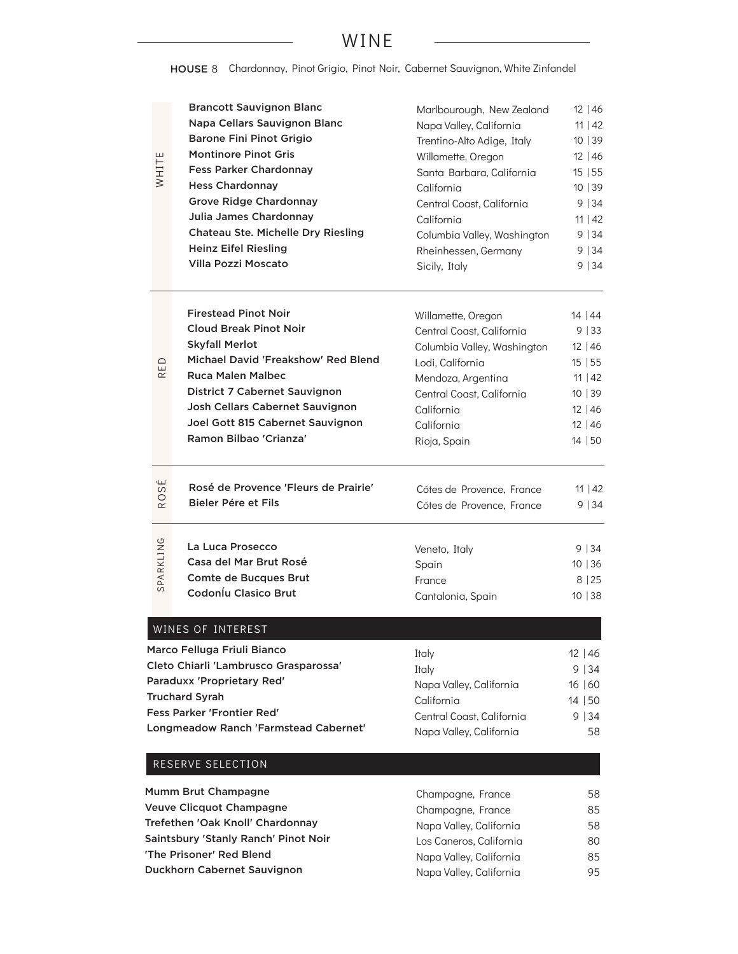## WINE

HOUSE 8 Chardonnay, Pinot Grigio, Pinot Noir, Cabernet Sauvignon, White Zinfandel

| WHITE                      | <b>Brancott Sauvignon Blanc</b><br>Napa Cellars Sauvignon Blanc<br><b>Barone Fini Pinot Grigio</b><br><b>Montinore Pinot Gris</b><br><b>Fess Parker Chardonnay</b><br><b>Hess Chardonnay</b><br><b>Grove Ridge Chardonnay</b><br>Julia James Chardonnay<br><b>Chateau Ste. Michelle Dry Riesling</b><br><b>Heinz Eifel Riesling</b><br><b>Villa Pozzi Moscato</b> | Marlbourough, New Zealand<br>Napa Valley, California<br>Trentino-Alto Adige, Italy<br>Willamette, Oregon<br>Santa Barbara, California<br>California<br>Central Coast, California<br>California<br>Columbia Valley, Washington<br>Rheinhessen, Germany<br>Sicily, Italy | 12   46<br>11   42<br>10 39<br>$12 \mid 46$<br>15 55<br>10 39<br>9 34<br>$11 \mid 42$<br>9 34<br>9 34<br>9 34 |
|----------------------------|-------------------------------------------------------------------------------------------------------------------------------------------------------------------------------------------------------------------------------------------------------------------------------------------------------------------------------------------------------------------|------------------------------------------------------------------------------------------------------------------------------------------------------------------------------------------------------------------------------------------------------------------------|---------------------------------------------------------------------------------------------------------------|
| ED<br>$\simeq$             | <b>Firestead Pinot Noir</b><br><b>Cloud Break Pinot Noir</b><br><b>Skyfall Merlot</b><br>Michael David 'Freakshow' Red Blend<br><b>Ruca Malen Malbec</b><br>District 7 Cabernet Sauvignon<br>Josh Cellars Cabernet Sauvignon<br>Joel Gott 815 Cabernet Sauvignon<br>Ramon Bilbao 'Crianza'                                                                        | Willamette, Oregon<br>Central Coast, California<br>Columbia Valley, Washington<br>Lodi, California<br>Mendoza, Argentina<br>Central Coast, California<br>California<br>California<br>Rioja, Spain                                                                      | 14   44<br>9 33<br>$12 \mid 46$<br>15 55<br>11   42<br>10 39<br>$12 \mid 46$<br>$12 \mid 46$<br>14 50         |
| ЭS<br>$\circ$<br>$\propto$ | Rosé de Provence 'Fleurs de Prairie'<br>Bieler Pére et Fils                                                                                                                                                                                                                                                                                                       | Cótes de Provence, France<br>Cótes de Provence, France                                                                                                                                                                                                                 | 11   42<br>9 34                                                                                               |
| SPARKLING                  | La Luca Prosecco<br>Casa del Mar Brut Rosé<br><b>Comte de Bucques Brut</b><br>Codoníu Clasico Brut                                                                                                                                                                                                                                                                | Veneto, Italy<br>Spain<br>France<br>Cantalonia, Spain                                                                                                                                                                                                                  | 9   34<br>10 36<br>8   25<br>10 38                                                                            |
|                            | WINES OF INTEREST<br>Marco Felluga Friuli Bianco<br>Cleto Chiarli 'Lambrusco Grasparossa'<br>Paraduxx 'Proprietary Red'<br><b>Truchard Syrah</b><br><b>Fess Parker 'Frontier Red'</b><br>Longmeadow Ranch 'Farmstead Cabernet'<br>RESERVE SELECTION                                                                                                               | Italy<br>Italy<br>Napa Valley, California<br>California<br>Central Coast, California<br>Napa Valley, California                                                                                                                                                        | $12 \mid 46$<br>9 34<br>16 60<br>14 50<br>9 34<br>58                                                          |

| Mumm Brut Champagne                  | Champagne, France       | 58 |
|--------------------------------------|-------------------------|----|
| Veuve Clicquot Champagne             | Champagne, France       | 85 |
| Trefethen 'Oak Knoll' Chardonnay     | Napa Valley, California | 58 |
| Saintsbury 'Stanly Ranch' Pinot Noir | Los Caneros, California | 80 |
| 'The Prisoner' Red Blend             | Napa Valley, California | 85 |
| Duckhorn Cabernet Sauvignon          | Napa Valley, California | 95 |